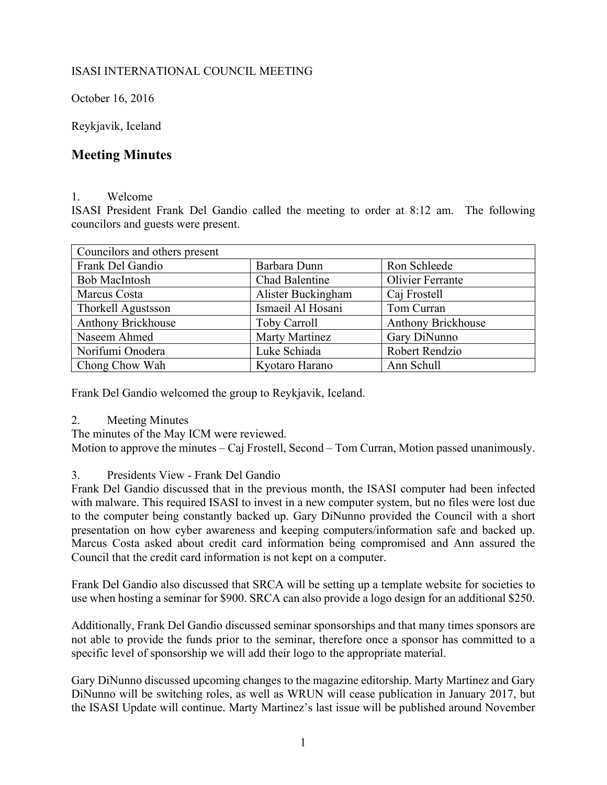# ISASI INTERNATIONAL COUNCIL MEETING

October 16, 2016

Reykjavik, Iceland

# **Meeting Minutes**

#### 1. Welcome

ISASI President Frank Del Gandio called the meeting to order at 8:12 am. The following councilors and guests were present.

| Councilors and others present |                       |                           |
|-------------------------------|-----------------------|---------------------------|
| Frank Del Gandio              | Barbara Dunn          | Ron Schleede              |
| <b>Bob MacIntosh</b>          | <b>Chad Balentine</b> | Olivier Ferrante          |
| Marcus Costa                  | Alister Buckingham    | Caj Frostell              |
| Thorkell Agustsson            | Ismaeil Al Hosani     | Tom Curran                |
| Anthony Brickhouse            | <b>Toby Carroll</b>   | <b>Anthony Brickhouse</b> |
| Naseem Ahmed                  | <b>Marty Martinez</b> | Gary DiNunno              |
| Norifumi Onodera              | Luke Schiada          | Robert Rendzio            |
| Chong Chow Wah                | Kyotaro Harano        | Ann Schull                |

Frank Del Gandio welcomed the group to Reykjavik, Iceland.

2. Meeting Minutes

The minutes of the May ICM were reviewed.

Motion to approve the minutes – Caj Frostell, Second – Tom Curran, Motion passed unanimously.

# 3. Presidents View - Frank Del Gandio

Frank Del Gandio discussed that in the previous month, the ISASI computer had been infected with malware. This required ISASI to invest in a new computer system, but no files were lost due to the computer being constantly backed up. Gary DiNunno provided the Council with a short presentation on how cyber awareness and keeping computers/information safe and backed up. Marcus Costa asked about credit card information being compromised and Ann assured the Council that the credit card information is not kept on a computer.

Frank Del Gandio also discussed that SRCA will be setting up a template website for societies to use when hosting a seminar for \$900. SRCA can also provide a logo design for an additional \$250.

Additionally, Frank Del Gandio discussed seminar sponsorships and that many times sponsors are not able to provide the funds prior to the seminar, therefore once a sponsor has committed to a specific level of sponsorship we will add their logo to the appropriate material.

Gary DiNunno discussed upcoming changes to the magazine editorship. Marty Martinez and Gary DiNunno will be switching roles, as well as WRUN will cease publication in January 2017, but the ISASI Update will continue. Marty Martinez's last issue will be published around November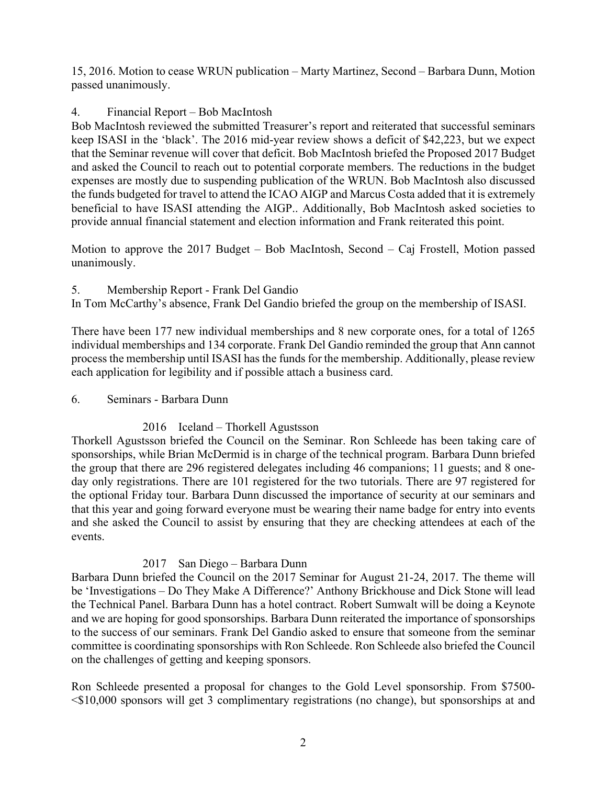15, 2016. Motion to cease WRUN publication – Marty Martinez, Second – Barbara Dunn, Motion passed unanimously.

# 4. Financial Report – Bob MacIntosh

Bob MacIntosh reviewed the submitted Treasurer's report and reiterated that successful seminars keep ISASI in the 'black'. The 2016 mid-year review shows a deficit of \$42,223, but we expect that the Seminar revenue will cover that deficit. Bob MacIntosh briefed the Proposed 2017 Budget and asked the Council to reach out to potential corporate members. The reductions in the budget expenses are mostly due to suspending publication of the WRUN. Bob MacIntosh also discussed the funds budgeted for travel to attend the ICAO AIGP and Marcus Costa added that it is extremely beneficial to have ISASI attending the AIGP.. Additionally, Bob MacIntosh asked societies to provide annual financial statement and election information and Frank reiterated this point.

Motion to approve the 2017 Budget – Bob MacIntosh, Second – Caj Frostell, Motion passed unanimously.

## 5. Membership Report - Frank Del Gandio

In Tom McCarthy's absence, Frank Del Gandio briefed the group on the membership of ISASI.

There have been 177 new individual memberships and 8 new corporate ones, for a total of 1265 individual memberships and 134 corporate. Frank Del Gandio reminded the group that Ann cannot process the membership until ISASI has the funds for the membership. Additionally, please review each application for legibility and if possible attach a business card.

## 6. Seminars - Barbara Dunn

# 2016 Iceland – Thorkell Agustsson

Thorkell Agustsson briefed the Council on the Seminar. Ron Schleede has been taking care of sponsorships, while Brian McDermid is in charge of the technical program. Barbara Dunn briefed the group that there are 296 registered delegates including 46 companions; 11 guests; and 8 oneday only registrations. There are 101 registered for the two tutorials. There are 97 registered for the optional Friday tour. Barbara Dunn discussed the importance of security at our seminars and that this year and going forward everyone must be wearing their name badge for entry into events and she asked the Council to assist by ensuring that they are checking attendees at each of the events.

## 2017 San Diego – Barbara Dunn

Barbara Dunn briefed the Council on the 2017 Seminar for August 21-24, 2017. The theme will be 'Investigations – Do They Make A Difference?' Anthony Brickhouse and Dick Stone will lead the Technical Panel. Barbara Dunn has a hotel contract. Robert Sumwalt will be doing a Keynote and we are hoping for good sponsorships. Barbara Dunn reiterated the importance of sponsorships to the success of our seminars. Frank Del Gandio asked to ensure that someone from the seminar committee is coordinating sponsorships with Ron Schleede. Ron Schleede also briefed the Council on the challenges of getting and keeping sponsors.

Ron Schleede presented a proposal for changes to the Gold Level sponsorship. From \$7500- <\$10,000 sponsors will get 3 complimentary registrations (no change), but sponsorships at and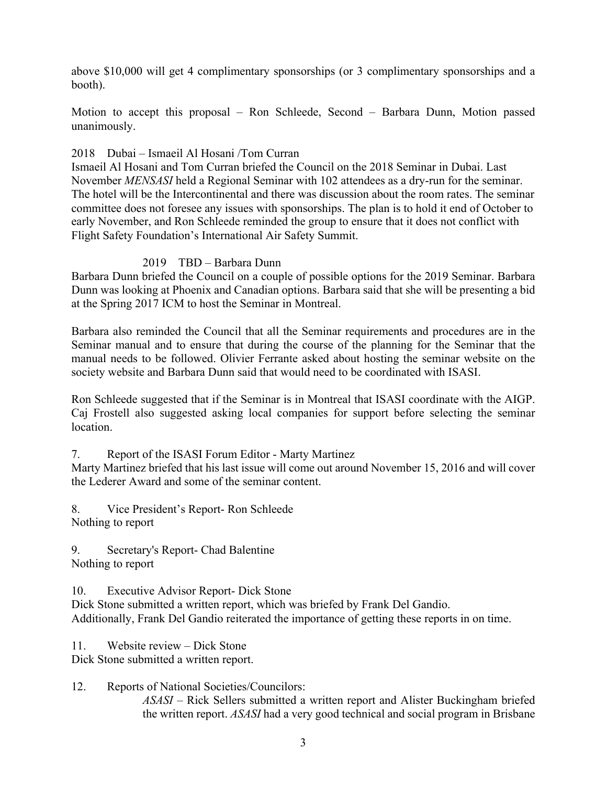above \$10,000 will get 4 complimentary sponsorships (or 3 complimentary sponsorships and a booth).

Motion to accept this proposal – Ron Schleede, Second – Barbara Dunn, Motion passed unanimously.

#### 2018 Dubai – Ismaeil Al Hosani /Tom Curran

Ismaeil Al Hosani and Tom Curran briefed the Council on the 2018 Seminar in Dubai. Last November *MENSASI* held a Regional Seminar with 102 attendees as a dry-run for the seminar. The hotel will be the Intercontinental and there was discussion about the room rates. The seminar committee does not foresee any issues with sponsorships. The plan is to hold it end of October to early November, and Ron Schleede reminded the group to ensure that it does not conflict with Flight Safety Foundation's International Air Safety Summit.

## 2019 TBD – Barbara Dunn

Barbara Dunn briefed the Council on a couple of possible options for the 2019 Seminar. Barbara Dunn was looking at Phoenix and Canadian options. Barbara said that she will be presenting a bid at the Spring 2017 ICM to host the Seminar in Montreal.

Barbara also reminded the Council that all the Seminar requirements and procedures are in the Seminar manual and to ensure that during the course of the planning for the Seminar that the manual needs to be followed. Olivier Ferrante asked about hosting the seminar website on the society website and Barbara Dunn said that would need to be coordinated with ISASI.

Ron Schleede suggested that if the Seminar is in Montreal that ISASI coordinate with the AIGP. Caj Frostell also suggested asking local companies for support before selecting the seminar location.

7. Report of the ISASI Forum Editor - Marty Martinez

Marty Martinez briefed that his last issue will come out around November 15, 2016 and will cover the Lederer Award and some of the seminar content.

8. Vice President's Report- Ron Schleede Nothing to report

9. Secretary's Report- Chad Balentine Nothing to report

10. Executive Advisor Report- Dick Stone

Dick Stone submitted a written report, which was briefed by Frank Del Gandio. Additionally, Frank Del Gandio reiterated the importance of getting these reports in on time.

11. Website review – Dick Stone Dick Stone submitted a written report.

12. Reports of National Societies/Councilors: *ASASI –* Rick Sellers submitted a written report and Alister Buckingham briefed the written report. *ASASI* had a very good technical and social program in Brisbane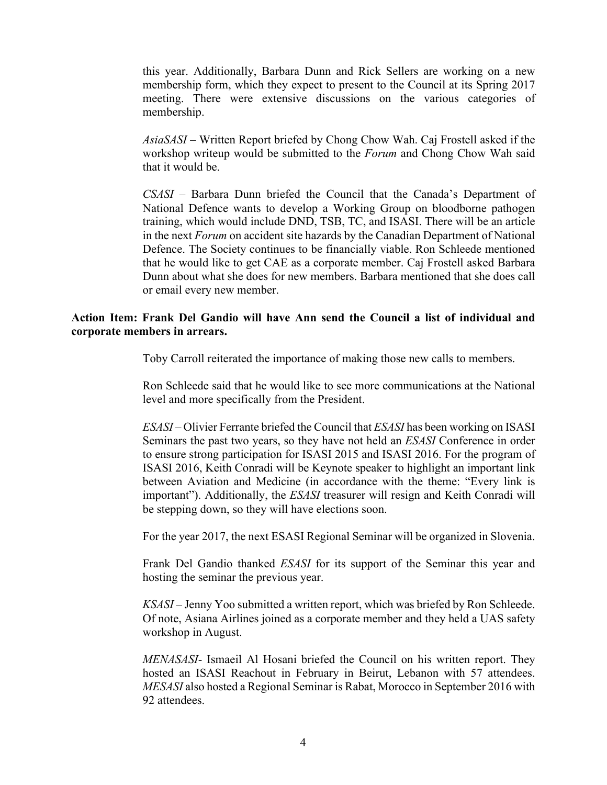this year. Additionally, Barbara Dunn and Rick Sellers are working on a new membership form, which they expect to present to the Council at its Spring 2017 meeting. There were extensive discussions on the various categories of membership.

*AsiaSASI* – Written Report briefed by Chong Chow Wah. Caj Frostell asked if the workshop writeup would be submitted to the *Forum* and Chong Chow Wah said that it would be.

*CSASI –* Barbara Dunn briefed the Council that the Canada's Department of National Defence wants to develop a Working Group on bloodborne pathogen training, which would include DND, TSB, TC, and ISASI. There will be an article in the next *Forum* on accident site hazards by the Canadian Department of National Defence. The Society continues to be financially viable. Ron Schleede mentioned that he would like to get CAE as a corporate member. Caj Frostell asked Barbara Dunn about what she does for new members. Barbara mentioned that she does call or email every new member.

#### **Action Item: Frank Del Gandio will have Ann send the Council a list of individual and corporate members in arrears.**

Toby Carroll reiterated the importance of making those new calls to members.

Ron Schleede said that he would like to see more communications at the National level and more specifically from the President.

*ESASI –* Olivier Ferrante briefed the Council that *ESASI* has been working on ISASI Seminars the past two years, so they have not held an *ESASI* Conference in order to ensure strong participation for ISASI 2015 and ISASI 2016. For the program of ISASI 2016, Keith Conradi will be Keynote speaker to highlight an important link between Aviation and Medicine (in accordance with the theme: "Every link is important"). Additionally, the *ESASI* treasurer will resign and Keith Conradi will be stepping down, so they will have elections soon.

For the year 2017, the next ESASI Regional Seminar will be organized in Slovenia.

Frank Del Gandio thanked *ESASI* for its support of the Seminar this year and hosting the seminar the previous year.

*KSASI –* Jenny Yoo submitted a written report, which was briefed by Ron Schleede. Of note, Asiana Airlines joined as a corporate member and they held a UAS safety workshop in August.

*MENASASI*- Ismaeil Al Hosani briefed the Council on his written report. They hosted an ISASI Reachout in February in Beirut, Lebanon with 57 attendees. *MESASI* also hosted a Regional Seminar is Rabat, Morocco in September 2016 with 92 attendees.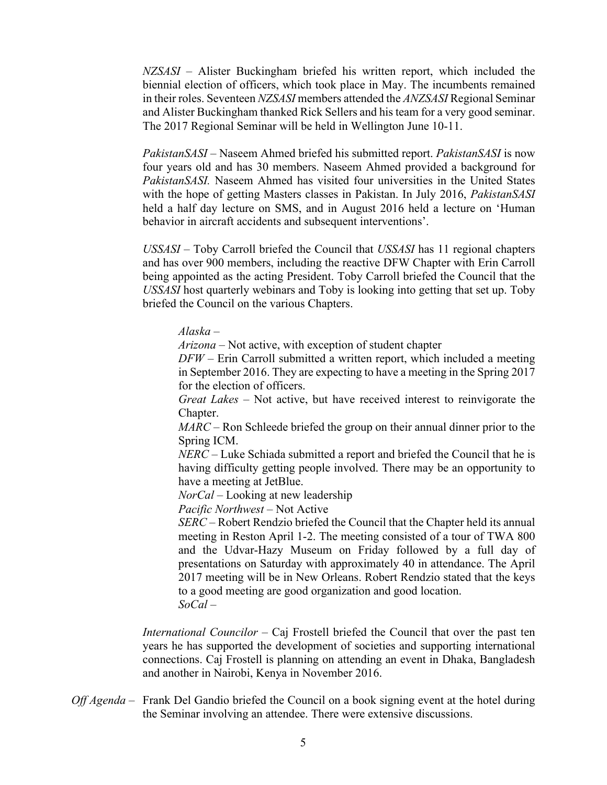*NZSASI –* Alister Buckingham briefed his written report, which included the biennial election of officers, which took place in May. The incumbents remained in their roles. Seventeen *NZSASI* members attended the *ANZSASI* Regional Seminar and Alister Buckingham thanked Rick Sellers and his team for a very good seminar. The 2017 Regional Seminar will be held in Wellington June 10-11.

*PakistanSASI* – Naseem Ahmed briefed his submitted report. *PakistanSASI* is now four years old and has 30 members. Naseem Ahmed provided a background for *PakistanSASI.* Naseem Ahmed has visited four universities in the United States with the hope of getting Masters classes in Pakistan. In July 2016, *PakistanSASI* held a half day lecture on SMS, and in August 2016 held a lecture on 'Human behavior in aircraft accidents and subsequent interventions'.

*USSASI* – Toby Carroll briefed the Council that *USSASI* has 11 regional chapters and has over 900 members, including the reactive DFW Chapter with Erin Carroll being appointed as the acting President. Toby Carroll briefed the Council that the *USSASI* host quarterly webinars and Toby is looking into getting that set up. Toby briefed the Council on the various Chapters.

*Alaska* –

*Arizona* – Not active, with exception of student chapter

*DFW* – Erin Carroll submitted a written report, which included a meeting in September 2016. They are expecting to have a meeting in the Spring 2017 for the election of officers.

*Great Lakes* – Not active, but have received interest to reinvigorate the Chapter.

*MARC* – Ron Schleede briefed the group on their annual dinner prior to the Spring ICM.

*NERC* – Luke Schiada submitted a report and briefed the Council that he is having difficulty getting people involved. There may be an opportunity to have a meeting at JetBlue.

*NorCal* – Looking at new leadership

*Pacific Northwest* – Not Active

*SERC* – Robert Rendzio briefed the Council that the Chapter held its annual meeting in Reston April 1-2. The meeting consisted of a tour of TWA 800 and the Udvar-Hazy Museum on Friday followed by a full day of presentations on Saturday with approximately 40 in attendance. The April 2017 meeting will be in New Orleans. Robert Rendzio stated that the keys to a good meeting are good organization and good location. *SoCal* –

*International Councilor –* Caj Frostell briefed the Council that over the past ten years he has supported the development of societies and supporting international connections. Caj Frostell is planning on attending an event in Dhaka, Bangladesh and another in Nairobi, Kenya in November 2016.

*Off Agenda –* Frank Del Gandio briefed the Council on a book signing event at the hotel during the Seminar involving an attendee. There were extensive discussions.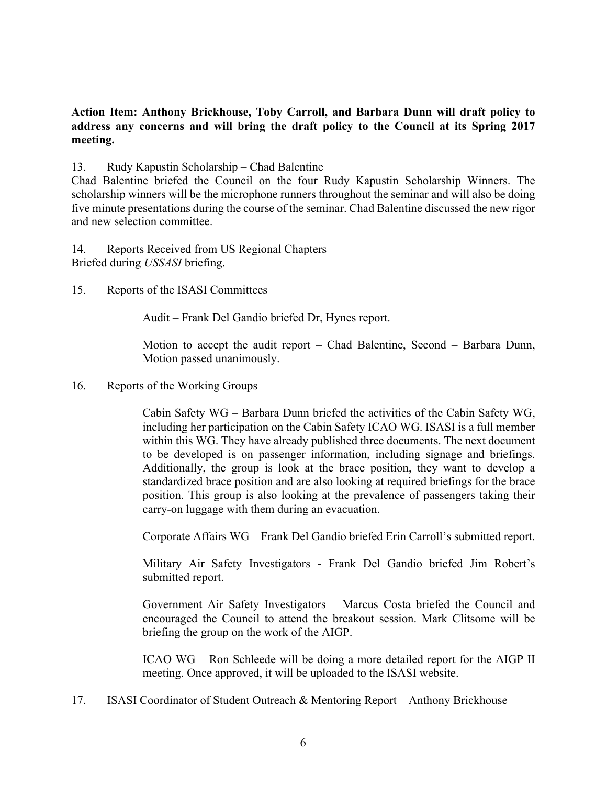## **Action Item: Anthony Brickhouse, Toby Carroll, and Barbara Dunn will draft policy to address any concerns and will bring the draft policy to the Council at its Spring 2017 meeting.**

#### 13. Rudy Kapustin Scholarship – Chad Balentine

Chad Balentine briefed the Council on the four Rudy Kapustin Scholarship Winners. The scholarship winners will be the microphone runners throughout the seminar and will also be doing five minute presentations during the course of the seminar. Chad Balentine discussed the new rigor and new selection committee.

14. Reports Received from US Regional Chapters Briefed during *USSASI* briefing.

15. Reports of the ISASI Committees

Audit – Frank Del Gandio briefed Dr, Hynes report.

Motion to accept the audit report – Chad Balentine, Second – Barbara Dunn, Motion passed unanimously.

16. Reports of the Working Groups

Cabin Safety WG – Barbara Dunn briefed the activities of the Cabin Safety WG, including her participation on the Cabin Safety ICAO WG. ISASI is a full member within this WG. They have already published three documents. The next document to be developed is on passenger information, including signage and briefings. Additionally, the group is look at the brace position, they want to develop a standardized brace position and are also looking at required briefings for the brace position. This group is also looking at the prevalence of passengers taking their carry-on luggage with them during an evacuation.

Corporate Affairs WG – Frank Del Gandio briefed Erin Carroll's submitted report.

Military Air Safety Investigators - Frank Del Gandio briefed Jim Robert's submitted report.

Government Air Safety Investigators – Marcus Costa briefed the Council and encouraged the Council to attend the breakout session. Mark Clitsome will be briefing the group on the work of the AIGP.

ICAO WG – Ron Schleede will be doing a more detailed report for the AIGP II meeting. Once approved, it will be uploaded to the ISASI website.

17. ISASI Coordinator of Student Outreach & Mentoring Report – Anthony Brickhouse